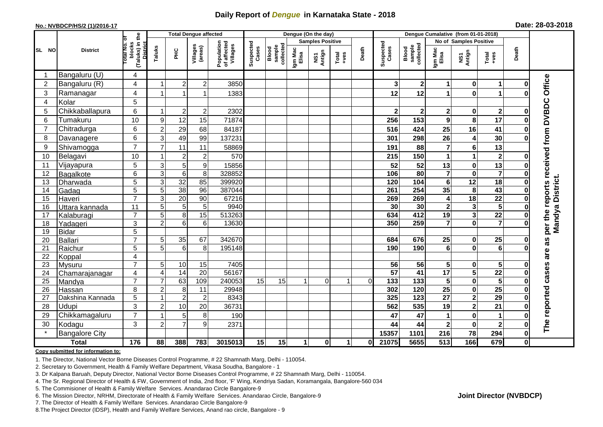## **Daily Report of** *Dengue* **in Karnataka State - 2018**

#### **No.: NVBDCP/HS/2 (1)/2016-17**

|  |  | Date: 28-03-2018 |
|--|--|------------------|
|--|--|------------------|

|                | <b>Total Dengue affected</b> |                                                           |                                  |                       |                     |                                       |                    |                              |                  | Dengue (On the day)     |                  |          |                    |                              |                         |                                        |                         |                      |                                     |
|----------------|------------------------------|-----------------------------------------------------------|----------------------------------|-----------------------|---------------------|---------------------------------------|--------------------|------------------------------|------------------|-------------------------|------------------|----------|--------------------|------------------------------|-------------------------|----------------------------------------|-------------------------|----------------------|-------------------------------------|
|                |                              | ট                                                         |                                  |                       |                     |                                       |                    |                              |                  | <b>Samples Positive</b> |                  |          |                    |                              | No of Samples Positive  |                                        |                         |                      |                                     |
| SL NO          | <b>District</b>              | (Taluks) in the<br>blocks<br>lotal No.<br><b>District</b> | Taluks                           | <b>PHC</b>            | Villages<br>(areas) | Population<br>of affected<br>Villages | Suspected<br>Cases | sample<br>collected<br>Blood | lgm Mac<br>Elisa | NS1<br>Antign           | Total<br>$+ve$ s | Death    | Suspected<br>Cases | sample<br>collected<br>Blood | Igm Mac<br>Elisa        | NS1<br>Antign                          | Total<br>+ves           | Death                |                                     |
|                | Bangaluru (U)                | 4                                                         |                                  |                       |                     |                                       |                    |                              |                  |                         |                  |          |                    |                              |                         |                                        |                         |                      |                                     |
| $\overline{2}$ | Bangaluru (R)                | 4                                                         |                                  | $\overline{2}$        | $\overline{c}$      | 3850                                  |                    |                              |                  |                         |                  |          | 3                  | 2 <sub>l</sub>               | 1                       | 0                                      |                         | ŋ                    |                                     |
| 3              | Ramanagar                    | 4                                                         |                                  | 1                     |                     | 1383                                  |                    |                              |                  |                         |                  |          | 12                 | 12                           | 1                       | $\bf{0}$                               |                         |                      | Office                              |
| $\overline{4}$ | Kolar                        | 5                                                         |                                  |                       |                     |                                       |                    |                              |                  |                         |                  |          |                    |                              |                         |                                        |                         |                      |                                     |
| 5              | Chikkaballapura              | 6                                                         |                                  | $\overline{2}$        | $\overline{2}$      | 2302                                  |                    |                              |                  |                         |                  |          | $\mathbf{2}$       | $\mathbf{2}$                 | $\mathbf 2$             | $\mathbf 0$                            | $\overline{\mathbf{2}}$ | 0                    |                                     |
| 6              | Tumakuru                     | 10                                                        | 9                                | 12                    | 15                  | 71874                                 |                    |                              |                  |                         |                  |          | 256                | 153                          | $\boldsymbol{9}$        | 8                                      | 17                      | 0                    |                                     |
| $\overline{7}$ | Chitradurga                  | 6                                                         | $\overline{2}$                   | 29                    | 68                  | 84187                                 |                    |                              |                  |                         |                  |          | 516                | 424                          | 25                      | 16                                     | 41                      | 0                    |                                     |
| 8              | Davanagere                   | 6                                                         | 3                                | 49                    | 99                  | 137231                                |                    |                              |                  |                         |                  |          | 301                | 298                          | 26                      | 4                                      | 30                      | 0                    |                                     |
| 9              | Shivamogga                   | $\overline{7}$                                            | $\overline{7}$                   | 11                    | 11                  | 58869                                 |                    |                              |                  |                         |                  |          | 191                | 88                           | $\overline{7}$          | $6\phantom{1}6$                        | 13                      |                      |                                     |
| 10             | Belagavi                     | 10                                                        |                                  | $\overline{2}$        | $\overline{c}$      | 570                                   |                    |                              |                  |                         |                  |          | 215                | 150                          | 1                       | $\overline{1}$                         | $\overline{\mathbf{2}}$ | O                    | per the reports received from DVBDC |
| 11             | Vijayapura                   | 5                                                         | $\mathbf{3}$                     | $\overline{5}$        | $\boldsymbol{9}$    | 15856                                 |                    |                              |                  |                         |                  |          | 52                 | 52                           | 13                      | $\bf{0}$                               | 13                      |                      |                                     |
| 12             | Bagalkote                    | 6                                                         | $\mathbf{3}$                     | $6\phantom{1}6$       | $\overline{8}$      | 328852                                |                    |                              |                  |                         |                  |          | 106                | $\overline{80}$              | $\overline{\mathbf{7}}$ | $\mathbf 0$                            | $\overline{\mathbf{7}}$ | 0                    |                                     |
| 13             | Dharwada                     | $\overline{5}$                                            | $\mathbf{3}$                     | 32                    | 85                  | 399920                                |                    |                              |                  |                         |                  |          | 120                | 104                          | $6\phantom{a}$          | $\overline{12}$                        | 18                      | 0                    | Mandya District.                    |
| 14             | Gadag                        | 5                                                         | 5                                | 38                    | 96                  | 387044                                |                    |                              |                  |                         |                  |          | 261                | 254                          | 35                      | 8                                      | 43                      | 0                    |                                     |
| 15             | Haveri                       | $\overline{7}$                                            | 3                                | $\overline{20}$       | $\overline{90}$     | 67216                                 |                    |                              |                  |                         |                  |          | 269                | 269                          | 4                       | $\overline{18}$                        | $\overline{22}$         | $\mathbf 0$          |                                     |
| 16             | Uttara kannada               | 11                                                        | 5                                | 5                     | 5                   | 9940                                  |                    |                              |                  |                         |                  |          | 30                 | 30                           | $\overline{\mathbf{c}}$ | 3                                      | $\overline{\mathbf{5}}$ |                      |                                     |
| 17             | Kalaburagi                   | $\overline{7}$                                            | 5                                | 8                     | $\overline{15}$     | 513263                                |                    |                              |                  |                         |                  |          | 634                | 412                          | 19                      | $\overline{\mathbf{3}}$                | $\overline{22}$         |                      |                                     |
| 18             | Yadageri                     | 3                                                         | $\overline{2}$                   | 6                     | 6                   | 13630                                 |                    |                              |                  |                         |                  |          | 350                | 259                          | $\overline{7}$          | $\bf{0}$                               | $\overline{7}$          |                      |                                     |
| 19             | Bidar                        | 5                                                         |                                  |                       |                     |                                       |                    |                              |                  |                         |                  |          |                    |                              |                         |                                        |                         |                      |                                     |
| 20             | Ballari                      | $\overline{7}$                                            | 5                                | 35                    | 67                  | 342670                                |                    |                              |                  |                         |                  |          | 684                | 676                          | 25                      | 0                                      | 25                      | 0                    | as                                  |
| 21             | Raichur                      | $\overline{5}$                                            | 5                                | $6\phantom{1}6$       | 8                   | 195148                                |                    |                              |                  |                         |                  |          | 190                | 190                          | 6                       | $\bf{0}$                               | $\overline{6}$          |                      | are                                 |
| 22             | Koppal                       | 4                                                         |                                  |                       |                     |                                       |                    |                              |                  |                         |                  |          |                    |                              |                         |                                        |                         |                      |                                     |
| 23             | Mysuru                       | $\overline{7}$                                            | 5                                | $10$                  | 15<br>20            | 7405                                  |                    |                              |                  |                         |                  |          | 56<br>57           | 56<br>41                     | 5<br>$\overline{17}$    | 0                                      | 5<br>$\overline{22}$    | O                    |                                     |
| 24<br>25       | Chamarajanagar               | 4<br>$\overline{7}$                                       | $\overline{4}$<br>$\overline{7}$ | $\overline{14}$<br>63 | 109                 | 56167<br>240053                       | 15                 | 15                           |                  | $\Omega$                |                  | $\Omega$ | 133                | $\overline{133}$             | 5                       | $\overline{\mathbf{5}}$<br>$\mathbf 0$ | $\overline{\mathbf{5}}$ | $\bf{0}$<br>$\bf{0}$ |                                     |
| 26             | Mandya<br>Hassan             | 8                                                         | $\overline{2}$                   | 8                     | 11                  | 29948                                 |                    |                              |                  |                         |                  |          | 302                | 120                          | $\overline{25}$         | $\pmb{0}$                              | 25                      | 0                    |                                     |
| 27             | Dakshina Kannada             | 5                                                         |                                  | $\overline{2}$        | $\overline{c}$      | 8343                                  |                    |                              |                  |                         |                  |          | 325                | 123                          | $\overline{27}$         | $\overline{\mathbf{2}}$                | 29                      | 0                    |                                     |
| 28             | <b>Udupi</b>                 | 3                                                         | $\overline{2}$                   | 10                    | 20                  | 36731                                 |                    |                              |                  |                         |                  |          | 562                | 535                          | 19                      | $\overline{\mathbf{c}}$                | 21                      | 0                    | The reported cases                  |
| 29             | Chikkamagaluru               | $\overline{7}$                                            |                                  | 5                     | 8                   | 190                                   |                    |                              |                  |                         |                  |          | 47                 | 47                           | 1                       | $\mathbf 0$                            |                         | 0                    |                                     |
| 30             | Kodagu                       | 3                                                         | $\overline{2}$                   | $\overline{7}$        | 9                   | 2371                                  |                    |                              |                  |                         |                  |          | 44                 | 44                           | $\mathbf 2$             | $\bf{0}$                               | $\mathbf{2}$            | 0                    |                                     |
|                | <b>Bangalore City</b>        |                                                           |                                  |                       |                     |                                       |                    |                              |                  |                         |                  |          | 15357              | 1101                         | 216                     | 78                                     | 294                     | $\mathbf 0$          |                                     |
|                | <b>Total</b>                 | 176                                                       | 88                               | 388                   | 783                 | 3015013                               | 15                 | 15                           | 1                | $\mathbf{0}$            | $\mathbf{1}$     | 01       | 21075              | 5655                         | $\overline{513}$        | 166                                    | 679                     | $\mathbf{0}$         |                                     |
|                |                              |                                                           |                                  |                       |                     |                                       |                    |                              |                  |                         |                  |          |                    |                              |                         |                                        |                         |                      |                                     |

#### **Copy submitted for information to:**

1. The Director, National Vector Borne Diseases Control Programme, # 22 Shamnath Marg, Delhi - 110054.

2. Secretary to Government, Health & Family Welfare Department, Vikasa Soudha, Bangalore - 1

3. Dr Kalpana Baruah, Deputy Director, National Vector Borne Diseases Control Programme, # 22 Shamnath Marg, Delhi - 110054.

- 4. The Sr. Regional Director of Health & FW, Government of India, 2nd floor, 'F' Wing, Kendriya Sadan, Koramangala, Bangalore-560 034
- 5. The Commisioner of Health & Family Welfare Services. Anandarao Circle Bangalore-9
- 6. The Mission Director, NRHM, Directorate of Health & Family Welfare Services. Anandarao Circle, Bangalore-9

7. The Director of Health & Family Welfare Services. Anandarao Circle Bangalore-9

8. The Project Director (IDSP), Health and Family Welfare Services, Anand rao circle, Bangalore - 9